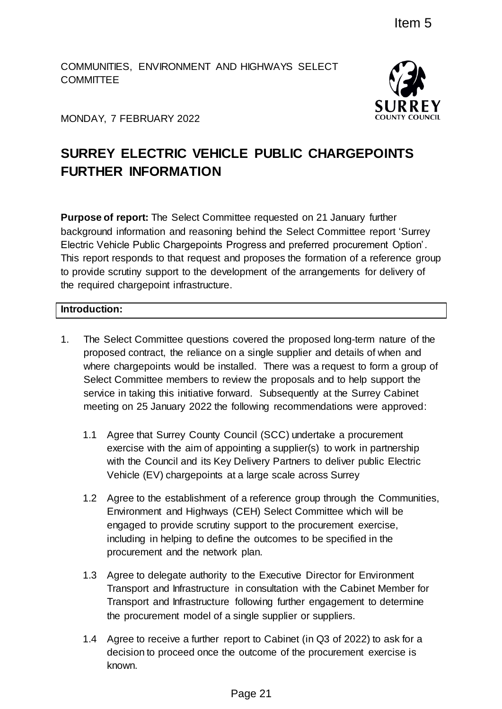COMMUNITIES, ENVIRONMENT AND HIGHWAYS SELECT **COMMITTEE** 



MONDAY, 7 FEBRUARY 2022

# **SURREY ELECTRIC VEHICLE PUBLIC CHARGEPOINTS FURTHER INFORMATION**

**Purpose of report:** The Select Committee requested on 21 January further background information and reasoning behind the Select Committee report 'Surrey Electric Vehicle Public Chargepoints Progress and preferred procurement Option'. This report responds to that request and proposes the formation of a reference group to provide scrutiny support to the development of the arrangements for delivery of the required chargepoint infrastructure. Item 5<br>
D HIGHWAYS SELECT<br>
SURRE<br>
ELE PUBLIC CHARGEPOINTS<br>
ELE PUBLIC CHARGEPOINTS<br>
inter equested on 21 January further<br>
behind the Select Committee report 'Surrey<br>
roogress and preferred procurement Option'<br>
or proposes

## **Introduction:**

- 1. The Select Committee questions covered the proposed long-term nature of the proposed contract, the reliance on a single supplier and details of when and where chargepoints would be installed. There was a request to form a group of Select Committee members to review the proposals and to help support the service in taking this initiative forward. Subsequently at the Surrey Cabinet meeting on 25 January 2022 the following recommendations were approved:
	- 1.1 Agree that Surrey County Council (SCC) undertake a procurement exercise with the aim of appointing a supplier(s) to work in partnership with the Council and its Key Delivery Partners to deliver public Electric Vehicle (EV) chargepoints at a large scale across Surrey
	- 1.2 Agree to the establishment of a reference group through the Communities, Environment and Highways (CEH) Select Committee which will be engaged to provide scrutiny support to the procurement exercise, including in helping to define the outcomes to be specified in the procurement and the network plan.
	- 1.3 Agree to delegate authority to the Executive Director for Environment Transport and Infrastructure in consultation with the Cabinet Member for Transport and Infrastructure following further engagement to determine the procurement model of a single supplier or suppliers.
	- 1.4 Agree to receive a further report to Cabinet (in Q3 of 2022) to ask for a decision to proceed once the outcome of the procurement exercise is known.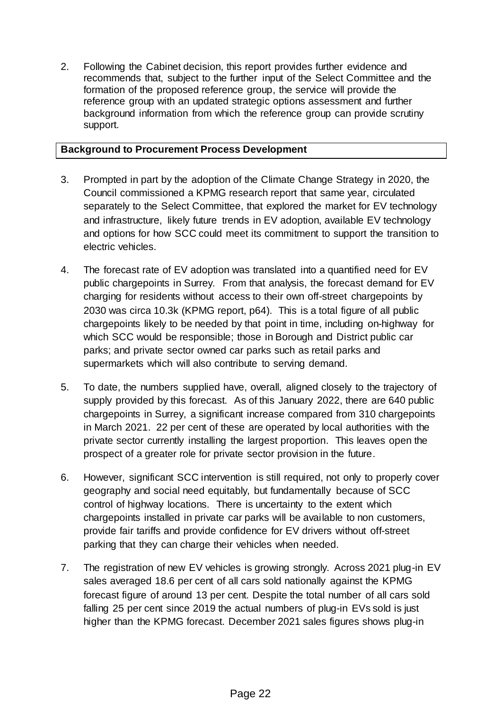2. Following the Cabinet decision, this report provides further evidence and recommends that, subject to the further input of the Select Committee and the formation of the proposed reference group, the service will provide the reference group with an updated strategic options assessment and further background information from which the reference group can provide scrutiny support.

## **Background to Procurement Process Development**

- 3. Prompted in part by the adoption of the Climate Change Strategy in 2020, the Council commissioned a KPMG research report that same year, circulated separately to the Select Committee, that explored the market for EV technology and infrastructure, likely future trends in EV adoption, available EV technology and options for how SCC could meet its commitment to support the transition to electric vehicles.
- 4. The forecast rate of EV adoption was translated into a quantified need for EV public chargepoints in Surrey. From that analysis, the forecast demand for EV charging for residents without access to their own off-street chargepoints by 2030 was circa 10.3k (KPMG report, p64). This is a total figure of all public chargepoints likely to be needed by that point in time, including on-highway for which SCC would be responsible; those in Borough and District public car parks; and private sector owned car parks such as retail parks and supermarkets which will also contribute to serving demand.
- 5. To date, the numbers supplied have, overall, aligned closely to the trajectory of supply provided by this forecast. As of this January 2022, there are 640 public chargepoints in Surrey, a significant increase compared from 310 chargepoints in March 2021. 22 per cent of these are operated by local authorities with the private sector currently installing the largest proportion. This leaves open the prospect of a greater role for private sector provision in the future.
- 6. However, significant SCC intervention is still required, not only to properly cover geography and social need equitably, but fundamentally because of SCC control of highway locations. There is uncertainty to the extent which chargepoints installed in private car parks will be available to non customers, provide fair tariffs and provide confidence for EV drivers without off-street parking that they can charge their vehicles when needed.
- 7. The registration of new EV vehicles is growing strongly. Across 2021 plug-in EV sales averaged 18.6 per cent of all cars sold nationally against the KPMG forecast figure of around 13 per cent. Despite the total number of all cars sold falling 25 per cent since 2019 the actual numbers of plug-in EVs sold is just higher than the KPMG forecast. December 2021 sales figures shows plug-in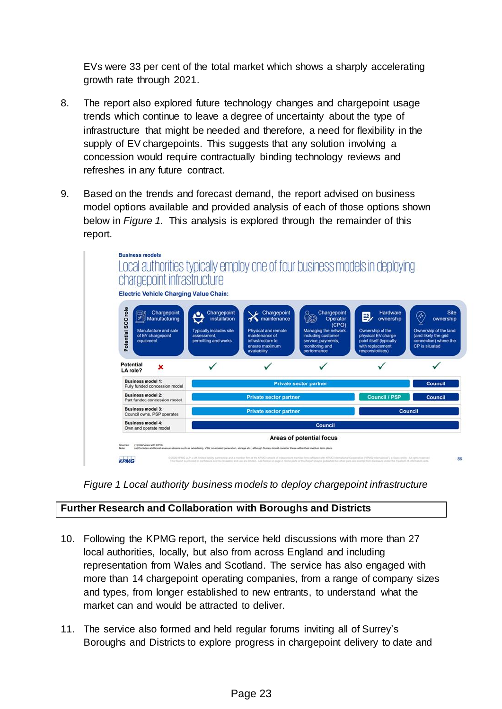EVs were 33 per cent of the total market which shows a sharply accelerating growth rate through 2021.

- 8. The report also explored future technology changes and chargepoint usage trends which continue to leave a degree of uncertainty about the type of infrastructure that might be needed and therefore, a need for flexibility in the supply of EV chargepoints. This suggests that any solution involving a concession would require contractually binding technology reviews and refreshes in any future contract.
- 9. Based on the trends and forecast demand, the report advised on business model options available and provided analysis of each of those options shown below in *Figure 1.* This analysis is explored through the remainder of this report.





## **Further Research and Collaboration with Boroughs and Districts**

- 10. Following the KPMG report, the service held discussions with more than 27 local authorities, locally, but also from across England and including representation from Wales and Scotland. The service has also engaged with more than 14 chargepoint operating companies, from a range of company sizes and types, from longer established to new entrants, to understand what the market can and would be attracted to deliver.
- 11. The service also formed and held regular forums inviting all of Surrey's Boroughs and Districts to explore progress in chargepoint delivery to date and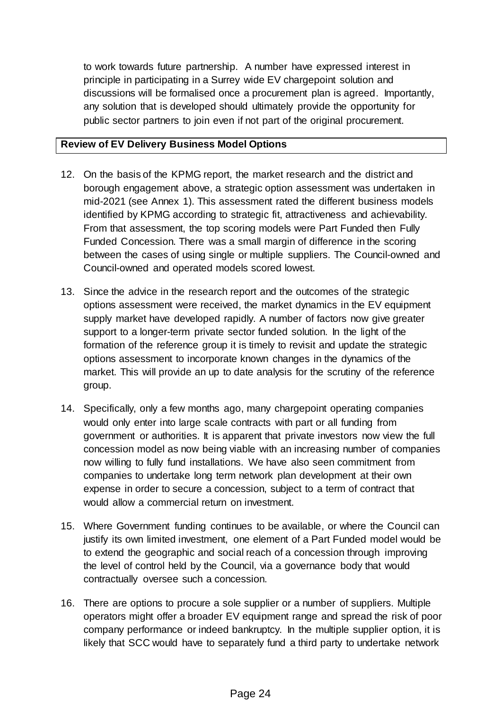to work towards future partnership. A number have expressed interest in principle in participating in a Surrey wide EV chargepoint solution and discussions will be formalised once a procurement plan is agreed. Importantly, any solution that is developed should ultimately provide the opportunity for public sector partners to join even if not part of the original procurement.

## **Review of EV Delivery Business Model Options**

- 12. On the basis of the KPMG report, the market research and the district and borough engagement above, a strategic option assessment was undertaken in mid-2021 (see Annex 1). This assessment rated the different business models identified by KPMG according to strategic fit, attractiveness and achievability. From that assessment, the top scoring models were Part Funded then Fully Funded Concession. There was a small margin of difference in the scoring between the cases of using single or multiple suppliers. The Council-owned and Council-owned and operated models scored lowest.
- 13. Since the advice in the research report and the outcomes of the strategic options assessment were received, the market dynamics in the EV equipment supply market have developed rapidly. A number of factors now give greater support to a longer-term private sector funded solution. In the light of the formation of the reference group it is timely to revisit and update the strategic options assessment to incorporate known changes in the dynamics of the market. This will provide an up to date analysis for the scrutiny of the reference group.
- 14. Specifically, only a few months ago, many chargepoint operating companies would only enter into large scale contracts with part or all funding from government or authorities. It is apparent that private investors now view the full concession model as now being viable with an increasing number of companies now willing to fully fund installations. We have also seen commitment from companies to undertake long term network plan development at their own expense in order to secure a concession, subject to a term of contract that would allow a commercial return on investment.
- 15. Where Government funding continues to be available, or where the Council can justify its own limited investment, one element of a Part Funded model would be to extend the geographic and social reach of a concession through improving the level of control held by the Council, via a governance body that would contractually oversee such a concession.
- 16. There are options to procure a sole supplier or a number of suppliers. Multiple operators might offer a broader EV equipment range and spread the risk of poor company performance or indeed bankruptcy. In the multiple supplier option, it is likely that SCC would have to separately fund a third party to undertake network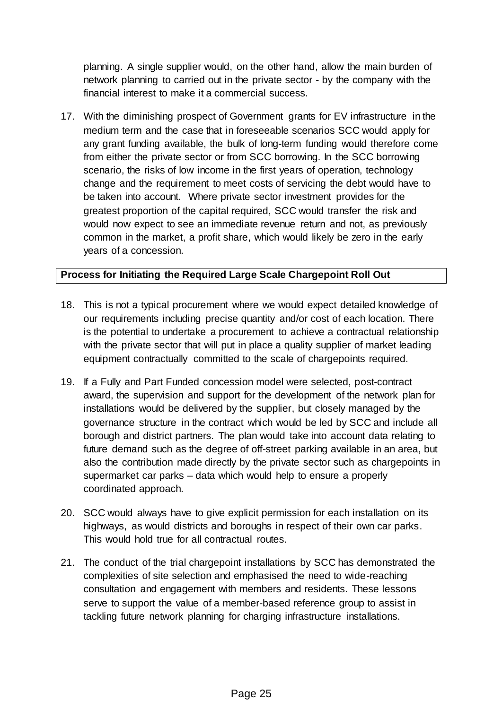planning. A single supplier would, on the other hand, allow the main burden of network planning to carried out in the private sector - by the company with the financial interest to make it a commercial success.

17. With the diminishing prospect of Government grants for EV infrastructure in the medium term and the case that in foreseeable scenarios SCC would apply for any grant funding available, the bulk of long-term funding would therefore come from either the private sector or from SCC borrowing. In the SCC borrowing scenario, the risks of low income in the first years of operation, technology change and the requirement to meet costs of servicing the debt would have to be taken into account. Where private sector investment provides for the greatest proportion of the capital required, SCC would transfer the risk and would now expect to see an immediate revenue return and not, as previously common in the market, a profit share, which would likely be zero in the early years of a concession.

## **Process for Initiating the Required Large Scale Chargepoint Roll Out**

- 18. This is not a typical procurement where we would expect detailed knowledge of our requirements including precise quantity and/or cost of each location. There is the potential to undertake a procurement to achieve a contractual relationship with the private sector that will put in place a quality supplier of market leading equipment contractually committed to the scale of chargepoints required.
- 19. If a Fully and Part Funded concession model were selected, post-contract award, the supervision and support for the development of the network plan for installations would be delivered by the supplier, but closely managed by the governance structure in the contract which would be led by SCC and include all borough and district partners. The plan would take into account data relating to future demand such as the degree of off-street parking available in an area, but also the contribution made directly by the private sector such as chargepoints in supermarket car parks – data which would help to ensure a properly coordinated approach.
- 20. SCC would always have to give explicit permission for each installation on its highways, as would districts and boroughs in respect of their own car parks. This would hold true for all contractual routes.
- 21. The conduct of the trial chargepoint installations by SCC has demonstrated the complexities of site selection and emphasised the need to wide-reaching consultation and engagement with members and residents. These lessons serve to support the value of a member-based reference group to assist in tackling future network planning for charging infrastructure installations.